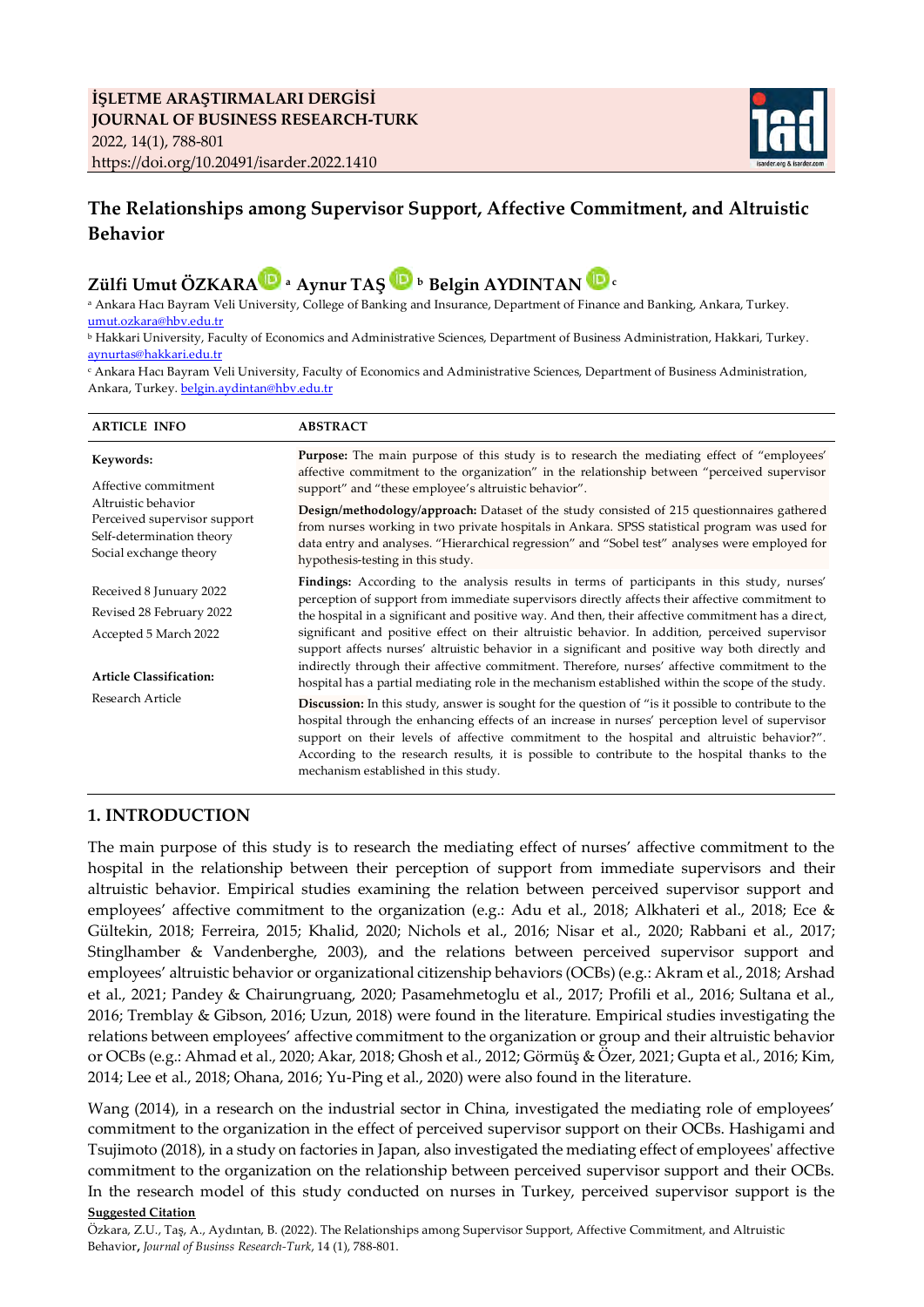

# **The Relationships among Supervisor Support, Affective Commitment, and Altruistic Behavior**

# **Zülfi Umut ÖZKAR[A](http://www.orcid.org/0000-0002-5031-808X) a Aynur TAŞ <sup>b</sup>Belgin AYDINTAN<sup>c</sup>**

<sup>a</sup> Ankara Hacı Bayram Veli University, College of Banking and Insurance, Department of Finance and Banking, Ankara, Turkey. [umut.ozkara@hbv.edu.tr](mailto:umut.ozkara@hbv.edu.tr) 

<sup>b</sup> Hakkari University, Faculty of Economics and Administrative Sciences, Department of Business Administration, Hakkari, Turkey. [aynurtas@hakkari.edu.tr](mailto:aynurtas@hakkari.edu.tr)

<sup>c</sup> Ankara Hacı Bayram Veli University, Faculty of Economics and Administrative Sciences, Department of Business Administration, Ankara, Turkey. [belgin.aydintan@hbv.edu.tr](mailto:belgin.aydintan@hbv.edu.tr) 

| <b>ARTICLE INFO</b>                                                                                                                             | <b>ABSTRACT</b>                                                                                                                                                                                                                                                                                                                                                                                                                                       |  |  |
|-------------------------------------------------------------------------------------------------------------------------------------------------|-------------------------------------------------------------------------------------------------------------------------------------------------------------------------------------------------------------------------------------------------------------------------------------------------------------------------------------------------------------------------------------------------------------------------------------------------------|--|--|
| Keywords:<br>Affective commitment<br>Altruistic behavior<br>Perceived supervisor support<br>Self-determination theory<br>Social exchange theory | Purpose: The main purpose of this study is to research the mediating effect of "employees"<br>affective commitment to the organization" in the relationship between "perceived supervisor<br>support" and "these employee's altruistic behavior".                                                                                                                                                                                                     |  |  |
|                                                                                                                                                 | Design/methodology/approach: Dataset of the study consisted of 215 questionnaires gathered<br>from nurses working in two private hospitals in Ankara. SPSS statistical program was used for<br>data entry and analyses. "Hierarchical regression" and "Sobel test" analyses were employed for<br>hypothesis-testing in this study.                                                                                                                    |  |  |
| Received 8 Junuary 2022                                                                                                                         | Findings: According to the analysis results in terms of participants in this study, nurses'                                                                                                                                                                                                                                                                                                                                                           |  |  |
| Revised 28 February 2022                                                                                                                        | perception of support from immediate supervisors directly affects their affective commitment to<br>the hospital in a significant and positive way. And then, their affective commitment has a direct,                                                                                                                                                                                                                                                 |  |  |
| Accepted 5 March 2022                                                                                                                           | significant and positive effect on their altruistic behavior. In addition, perceived supervisor<br>support affects nurses' altruistic behavior in a significant and positive way both directly and                                                                                                                                                                                                                                                    |  |  |
| <b>Article Classification:</b><br>Research Article                                                                                              | indirectly through their affective commitment. Therefore, nurses' affective commitment to the<br>hospital has a partial mediating role in the mechanism established within the scope of the study.                                                                                                                                                                                                                                                    |  |  |
|                                                                                                                                                 | <b>Discussion:</b> In this study, answer is sought for the question of "is it possible to contribute to the<br>hospital through the enhancing effects of an increase in nurses' perception level of supervisor<br>support on their levels of affective commitment to the hospital and altruistic behavior?".<br>According to the research results, it is possible to contribute to the hospital thanks to the<br>mechanism established in this study. |  |  |

## **1. INTRODUCTION**

The main purpose of this study is to research the mediating effect of nurses' affective commitment to the hospital in the relationship between their perception of support from immediate supervisors and their altruistic behavior. Empirical studies examining the relation between perceived supervisor support and employees' affective commitment to the organization (e.g.: Adu et al., 2018; Alkhateri et al., 2018; Ece & Gültekin, 2018; Ferreira, 2015; Khalid, 2020; Nichols et al., 2016; Nisar et al., 2020; Rabbani et al., 2017; Stinglhamber & Vandenberghe, 2003), and the relations between perceived supervisor support and employees' altruistic behavior or organizational citizenship behaviors (OCBs) (e.g.: Akram et al., 2018; Arshad et al., 2021; Pandey & Chairungruang, 2020; Pasamehmetoglu et al., 2017; Profili et al., 2016; Sultana et al., 2016; Tremblay & Gibson, 2016; Uzun, 2018) were found in the literature. Empirical studies investigating the relations between employees' affective commitment to the organization or group and their altruistic behavior or OCBs (e.g.: Ahmad et al., 2020; Akar, 2018; Ghosh et al., 2012; Görmüş & Özer, 2021; Gupta et al., 2016; Kim, 2014; Lee et al., 2018; Ohana, 2016; Yu-Ping et al., 2020) were also found in the literature.

**Suggested Citation**  Wang (2014), in a research on the industrial sector in China, investigated the mediating role of employees' commitment to the organization in the effect of perceived supervisor support on their OCBs. Hashigami and Tsujimoto (2018), in a study on factories in Japan, also investigated the mediating effect of employees' affective commitment to the organization on the relationship between perceived supervisor support and their OCBs. In the research model of this study conducted on nurses in Turkey, perceived supervisor support is the

Özkara, Z.U., Taş, A., Aydıntan, B. (2022). The Relationships among Supervisor Support, Affective Commitment, and Altruistic Behavior**,** *Journal of Businss Research-Turk*, 14 (1), 788-801.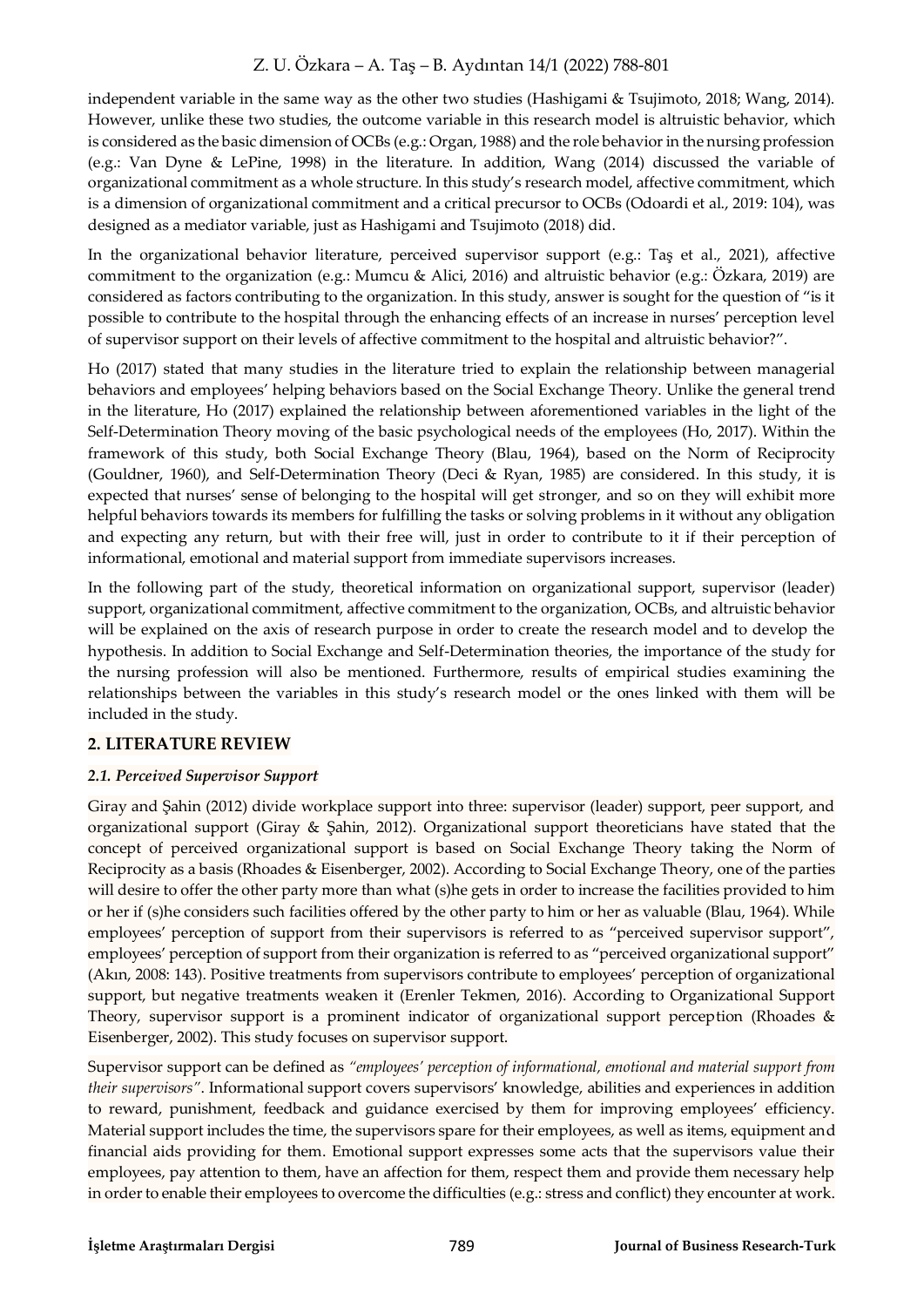independent variable in the same way as the other two studies (Hashigami & Tsujimoto, 2018; Wang, 2014). However, unlike these two studies, the outcome variable in this research model is altruistic behavior, which is considered as the basic dimension of OCBs (e.g.: Organ, 1988) and the role behavior in the nursing profession (e.g.: Van Dyne & LePine, 1998) in the literature. In addition, Wang (2014) discussed the variable of organizational commitment as a whole structure. In this study's research model, affective commitment, which is a dimension of organizational commitment and a critical precursor to OCBs (Odoardi et al., 2019: 104), was designed as a mediator variable, just as Hashigami and Tsujimoto (2018) did.

In the organizational behavior literature, perceived supervisor support (e.g.: Taş et al., 2021), affective commitment to the organization (e.g.: Mumcu & Alici, 2016) and altruistic behavior (e.g.: Özkara, 2019) are considered as factors contributing to the organization. In this study, answer is sought for the question of "is it possible to contribute to the hospital through the enhancing effects of an increase in nurses' perception level of supervisor support on their levels of affective commitment to the hospital and altruistic behavior?".

Ho (2017) stated that many studies in the literature tried to explain the relationship between managerial behaviors and employees' helping behaviors based on the Social Exchange Theory. Unlike the general trend in the literature, Ho (2017) explained the relationship between aforementioned variables in the light of the Self-Determination Theory moving of the basic psychological needs of the employees (Ho, 2017). Within the framework of this study, both Social Exchange Theory (Blau, 1964), based on the Norm of Reciprocity (Gouldner, 1960), and Self-Determination Theory (Deci & Ryan, 1985) are considered. In this study, it is expected that nurses' sense of belonging to the hospital will get stronger, and so on they will exhibit more helpful behaviors towards its members for fulfilling the tasks or solving problems in it without any obligation and expecting any return, but with their free will, just in order to contribute to it if their perception of informational, emotional and material support from immediate supervisors increases.

In the following part of the study, theoretical information on organizational support, supervisor (leader) support, organizational commitment, affective commitment to the organization, OCBs, and altruistic behavior will be explained on the axis of research purpose in order to create the research model and to develop the hypothesis. In addition to Social Exchange and Self-Determination theories, the importance of the study for the nursing profession will also be mentioned. Furthermore, results of empirical studies examining the relationships between the variables in this study's research model or the ones linked with them will be included in the study.

## **2. LITERATURE REVIEW**

## *2.1. Perceived Supervisor Support*

Giray and Şahin (2012) divide workplace support into three: supervisor (leader) support, peer support, and organizational support (Giray & Şahin, 2012). Organizational support theoreticians have stated that the concept of perceived organizational support is based on Social Exchange Theory taking the Norm of Reciprocity as a basis (Rhoades & Eisenberger, 2002). According to Social Exchange Theory, one of the parties will desire to offer the other party more than what (s)he gets in order to increase the facilities provided to him or her if (s)he considers such facilities offered by the other party to him or her as valuable (Blau, 1964). While employees' perception of support from their supervisors is referred to as "perceived supervisor support", employees' perception of support from their organization is referred to as "perceived organizational support" (Akın, 2008: 143). Positive treatments from supervisors contribute to employees' perception of organizational support, but negative treatments weaken it (Erenler Tekmen, 2016). According to Organizational Support Theory, supervisor support is a prominent indicator of organizational support perception (Rhoades & Eisenberger, 2002). This study focuses on supervisor support.

Supervisor support can be defined as *"employees' perception of informational, emotional and material support from their supervisors"*. Informational support covers supervisors' knowledge, abilities and experiences in addition to reward, punishment, feedback and guidance exercised by them for improving employees' efficiency. Material support includes the time, the supervisors spare for their employees, as well as items, equipment and financial aids providing for them. Emotional support expresses some acts that the supervisors value their employees, pay attention to them, have an affection for them, respect them and provide them necessary help in order to enable their employees to overcome the difficulties (e.g.: stress and conflict) they encounter at work.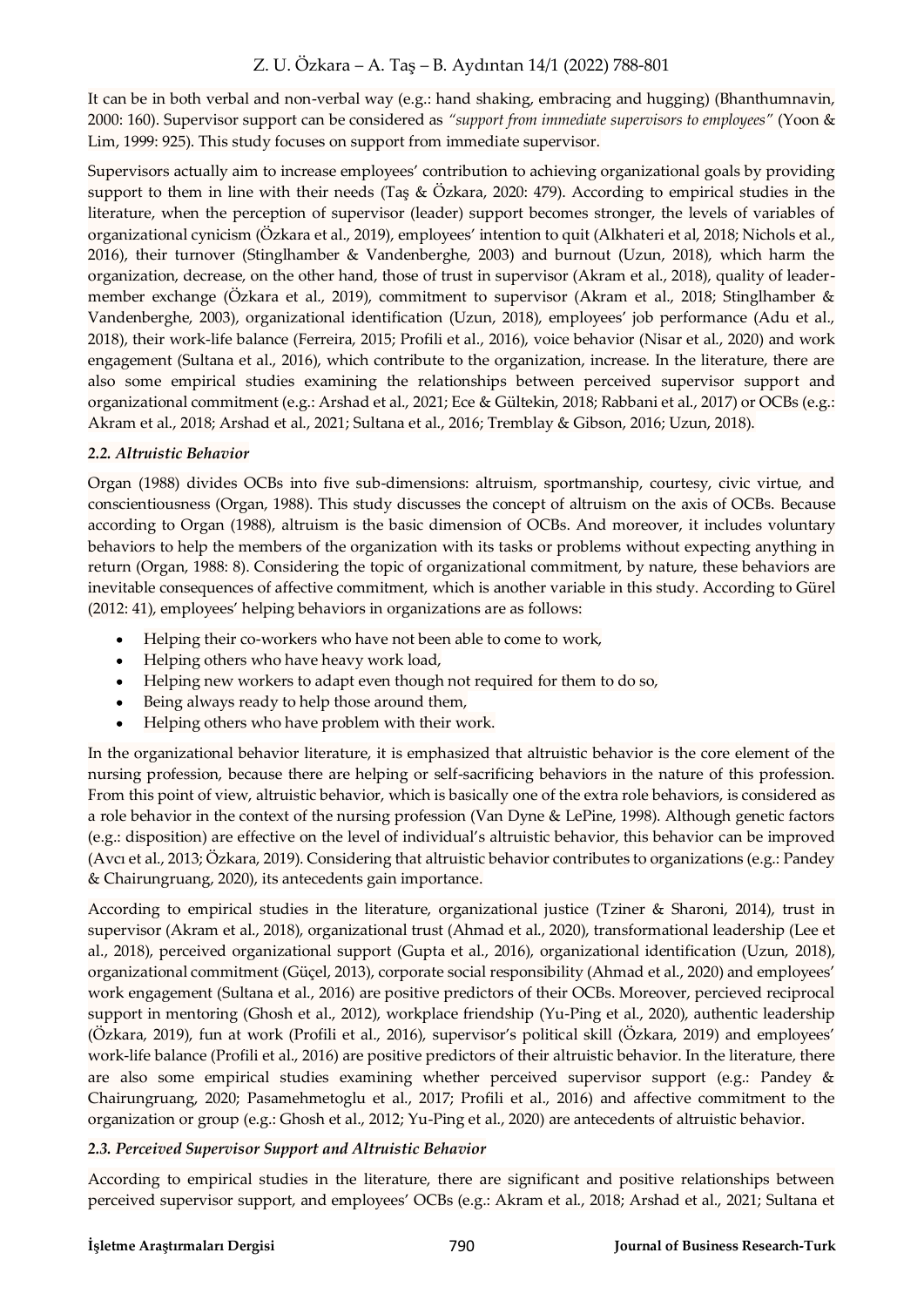It can be in both verbal and non-verbal way (e.g.: hand shaking, embracing and hugging) (Bhanthumnavin, 2000: 160). Supervisor support can be considered as *"support from immediate supervisors to employees"* (Yoon & Lim, 1999: 925). This study focuses on support from immediate supervisor.

Supervisors actually aim to increase employees' contribution to achieving organizational goals by providing support to them in line with their needs (Taş & Özkara, 2020: 479). According to empirical studies in the literature, when the perception of supervisor (leader) support becomes stronger, the levels of variables of organizational cynicism (Özkara et al., 2019), employees' intention to quit (Alkhateri et al, 2018; Nichols et al., 2016), their turnover (Stinglhamber & Vandenberghe, 2003) and burnout (Uzun, 2018), which harm the organization, decrease, on the other hand, those of trust in supervisor (Akram et al., 2018), quality of leadermember exchange (Özkara et al., 2019), commitment to supervisor (Akram et al., 2018; Stinglhamber & Vandenberghe, 2003), organizational identification (Uzun, 2018), employees' job performance (Adu et al., 2018), their work-life balance (Ferreira, 2015; Profili et al., 2016), voice behavior (Nisar et al., 2020) and work engagement (Sultana et al., 2016), which contribute to the organization, increase. In the literature, there are also some empirical studies examining the relationships between perceived supervisor support and organizational commitment (e.g.: Arshad et al., 2021; Ece & Gültekin, 2018; Rabbani et al., 2017) or OCBs (e.g.: Akram et al., 2018; Arshad et al., 2021; Sultana et al., 2016; Tremblay & Gibson, 2016; Uzun, 2018).

#### *2.2. Altruistic Behavior*

Organ (1988) divides OCBs into five sub-dimensions: altruism, sportmanship, courtesy, civic virtue, and conscientiousness (Organ, 1988). This study discusses the concept of altruism on the axis of OCBs. Because according to Organ (1988), altruism is the basic dimension of OCBs. And moreover, it includes voluntary behaviors to help the members of the organization with its tasks or problems without expecting anything in return (Organ, 1988: 8). Considering the topic of organizational commitment, by nature, these behaviors are inevitable consequences of affective commitment, which is another variable in this study. According to Gürel (2012: 41), employees' helping behaviors in organizations are as follows:

- $\bullet$ Helping their co-workers who have not been able to come to work,
- Helping others who have heavy work load,
- Helping new workers to adapt even though not required for them to do so,  $\bullet$
- Being always ready to help those around them,  $\bullet$
- $\bullet$ Helping others who have problem with their work.

In the organizational behavior literature, it is emphasized that altruistic behavior is the core element of the nursing profession, because there are helping or self-sacrificing behaviors in the nature of this profession. From this point of view, altruistic behavior, which is basically one of the extra role behaviors, is considered as a role behavior in the context of the nursing profession (Van Dyne & LePine, 1998). Although genetic factors (e.g.: disposition) are effective on the level of individual's altruistic behavior, this behavior can be improved (Avcı et al., 2013; Özkara, 2019). Considering that altruistic behavior contributes to organizations (e.g.: Pandey & Chairungruang, 2020), its antecedents gain importance.

According to empirical studies in the literature, organizational justice (Tziner & Sharoni, 2014), trust in supervisor (Akram et al., 2018), organizational trust (Ahmad et al., 2020), transformational leadership (Lee et al., 2018), perceived organizational support (Gupta et al., 2016), organizational identification (Uzun, 2018), organizational commitment (Güçel, 2013), corporate social responsibility (Ahmad et al., 2020) and employees' work engagement (Sultana et al., 2016) are positive predictors of their OCBs. Moreover, percieved reciprocal support in mentoring (Ghosh et al., 2012), workplace friendship (Yu-Ping et al., 2020), authentic leadership (Özkara, 2019), fun at work (Profili et al., 2016), supervisor's political skill (Özkara, 2019) and employees' work-life balance (Profili et al., 2016) are positive predictors of their altruistic behavior. In the literature, there are also some empirical studies examining whether perceived supervisor support (e.g.: Pandey & Chairungruang, 2020; Pasamehmetoglu et al., 2017; Profili et al., 2016) and affective commitment to the organization or group (e.g.: Ghosh et al., 2012; Yu-Ping et al., 2020) are antecedents of altruistic behavior.

## *2.3. Perceived Supervisor Support and Altruistic Behavior*

According to empirical studies in the literature, there are significant and positive relationships between perceived supervisor support, and employees' OCBs (e.g.: Akram et al., 2018; Arshad et al., 2021; Sultana et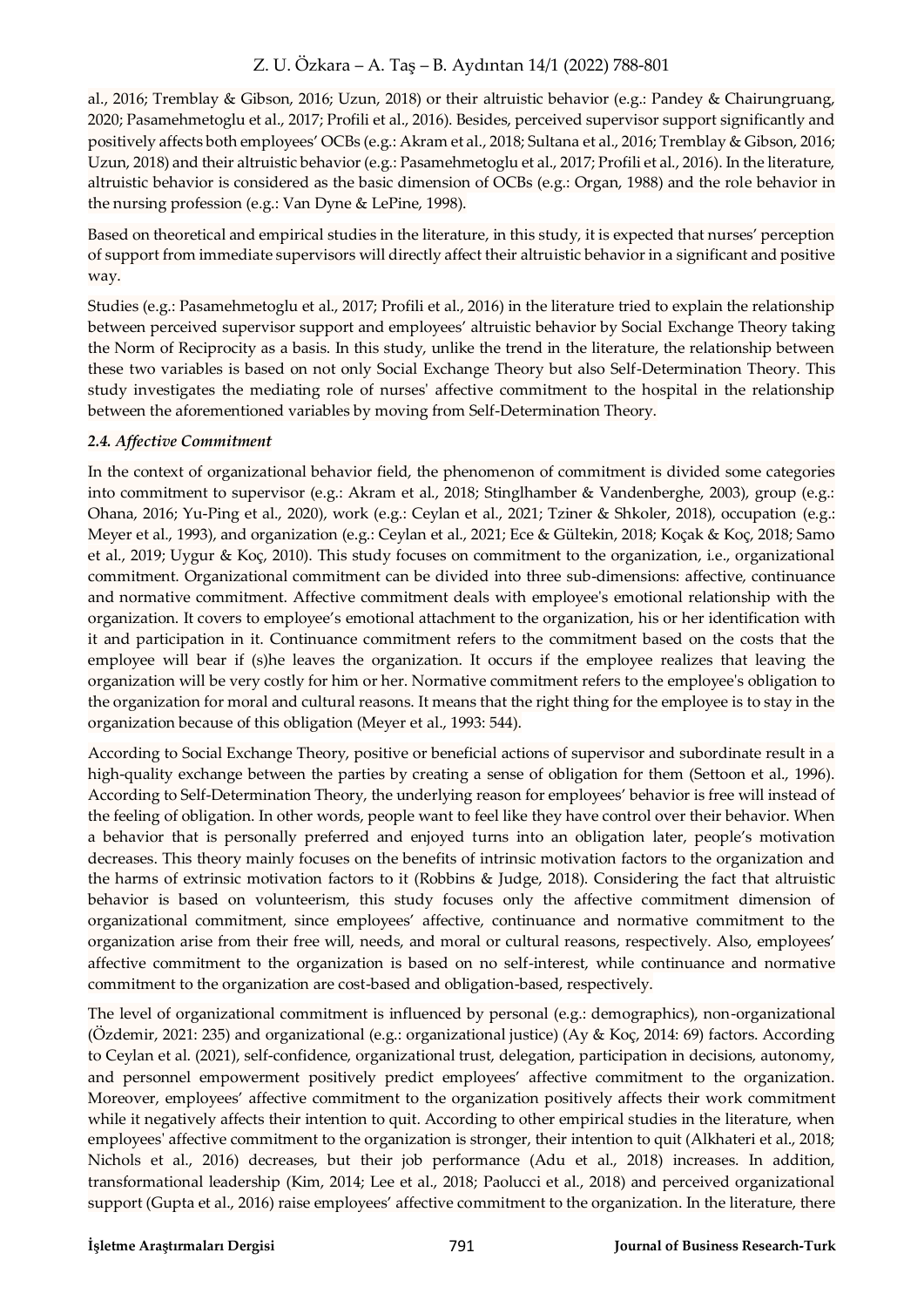al., 2016; Tremblay & Gibson, 2016; Uzun, 2018) or their altruistic behavior (e.g.: Pandey & Chairungruang, 2020; Pasamehmetoglu et al., 2017; Profili et al., 2016). Besides, perceived supervisor support significantly and positively affects both employees' OCBs (e.g.: Akram et al., 2018; Sultana et al., 2016; Tremblay & Gibson, 2016; Uzun, 2018) and their altruistic behavior (e.g.: Pasamehmetoglu et al., 2017; Profili et al., 2016). In the literature, altruistic behavior is considered as the basic dimension of OCBs (e.g.: Organ, 1988) and the role behavior in the nursing profession (e.g.: Van Dyne & LePine, 1998).

Based on theoretical and empirical studies in the literature, in this study, it is expected that nurses' perception of support from immediate supervisors will directly affect their altruistic behavior in a significant and positive way.

Studies (e.g.: Pasamehmetoglu et al., 2017; Profili et al., 2016) in the literature tried to explain the relationship between perceived supervisor support and employees' altruistic behavior by Social Exchange Theory taking the Norm of Reciprocity as a basis. In this study, unlike the trend in the literature, the relationship between these two variables is based on not only Social Exchange Theory but also Self-Determination Theory. This study investigates the mediating role of nurses' affective commitment to the hospital in the relationship between the aforementioned variables by moving from Self-Determination Theory.

#### *2.4. Affective Commitment*

In the context of organizational behavior field, the phenomenon of commitment is divided some categories into commitment to supervisor (e.g.: Akram et al., 2018; Stinglhamber & Vandenberghe, 2003), group (e.g.: Ohana, 2016; Yu-Ping et al., 2020), work (e.g.: Ceylan et al., 2021; Tziner & Shkoler, 2018), occupation (e.g.: Meyer et al., 1993), and organization (e.g.: Ceylan et al., 2021; Ece & Gültekin, 2018; Koçak & Koç, 2018; Samo et al., 2019; Uygur & Koç, 2010). This study focuses on commitment to the organization, i.e., organizational commitment. Organizational commitment can be divided into three sub-dimensions: affective, continuance and normative commitment. Affective commitment deals with employee's emotional relationship with the organization. It covers to employee's emotional attachment to the organization, his or her identification with it and participation in it. Continuance commitment refers to the commitment based on the costs that the employee will bear if (s)he leaves the organization. It occurs if the employee realizes that leaving the organization will be very costly for him or her. Normative commitment refers to the employee's obligation to the organization for moral and cultural reasons. It means that the right thing for the employee is to stay in the organization because of this obligation (Meyer et al., 1993: 544).

According to Social Exchange Theory, positive or beneficial actions of supervisor and subordinate result in a high-quality exchange between the parties by creating a sense of obligation for them (Settoon et al., 1996). According to Self-Determination Theory, the underlying reason for employees' behavior is free will instead of the feeling of obligation. In other words, people want to feel like they have control over their behavior. When a behavior that is personally preferred and enjoyed turns into an obligation later, people's motivation decreases. This theory mainly focuses on the benefits of intrinsic motivation factors to the organization and the harms of extrinsic motivation factors to it (Robbins & Judge, 2018). Considering the fact that altruistic behavior is based on volunteerism, this study focuses only the affective commitment dimension of organizational commitment, since employees' affective, continuance and normative commitment to the organization arise from their free will, needs, and moral or cultural reasons, respectively. Also, employees' affective commitment to the organization is based on no self-interest, while continuance and normative commitment to the organization are cost-based and obligation-based, respectively.

The level of organizational commitment is influenced by personal (e.g.: demographics), non-organizational (Özdemir, 2021: 235) and organizational (e.g.: organizational justice) (Ay & Koç, 2014: 69) factors. According to Ceylan et al. (2021), self-confidence, organizational trust, delegation, participation in decisions, autonomy, and personnel empowerment positively predict employees' affective commitment to the organization. Moreover, employees' affective commitment to the organization positively affects their work commitment while it negatively affects their intention to quit. According to other empirical studies in the literature, when employees' affective commitment to the organization is stronger, their intention to quit (Alkhateri et al., 2018; Nichols et al., 2016) decreases, but their job performance (Adu et al., 2018) increases. In addition, transformational leadership (Kim, 2014; Lee et al., 2018; Paolucci et al., 2018) and perceived organizational support (Gupta et al., 2016) raise employees' affective commitment to the organization. In the literature, there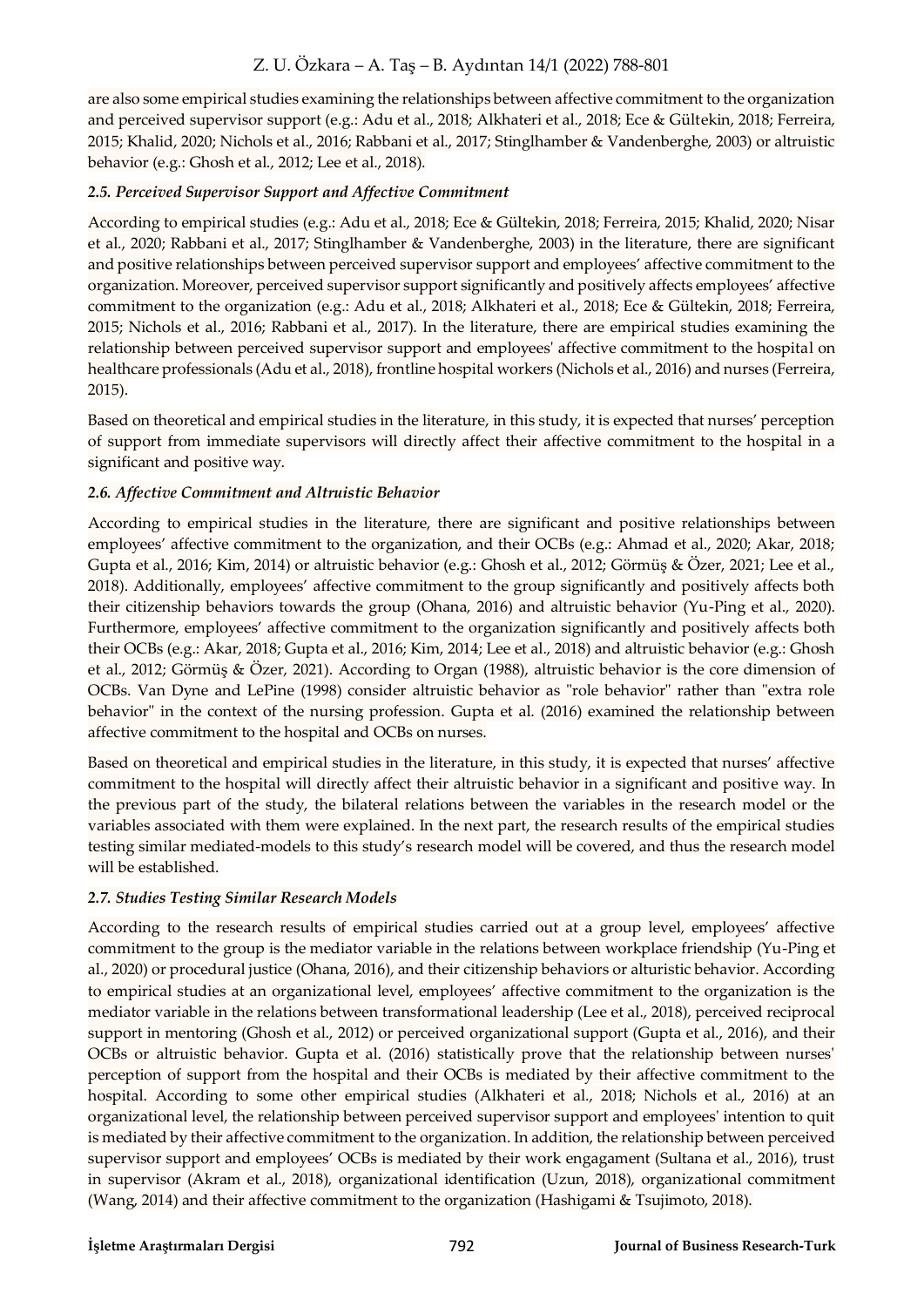are also some empirical studies examining the relationships between affective commitment to the organization and perceived supervisor support (e.g.: Adu et al., 2018; Alkhateri et al., 2018; Ece & Gültekin, 2018; Ferreira, 2015; Khalid, 2020; Nichols et al., 2016; Rabbani et al., 2017; Stinglhamber & Vandenberghe, 2003) or altruistic behavior (e.g.: Ghosh et al., 2012; Lee et al., 2018).

#### *2.5. Perceived Supervisor Support and Affective Commitment*

According to empirical studies (e.g.: Adu et al., 2018; Ece & Gültekin, 2018; Ferreira, 2015; Khalid, 2020; Nisar et al., 2020; Rabbani et al., 2017; Stinglhamber & Vandenberghe, 2003) in the literature, there are significant and positive relationships between perceived supervisor support and employees' affective commitment to the organization. Moreover, perceived supervisor support significantly and positively affects employees' affective commitment to the organization (e.g.: Adu et al., 2018; Alkhateri et al., 2018; Ece & Gültekin, 2018; Ferreira, 2015; Nichols et al., 2016; Rabbani et al., 2017). In the literature, there are empirical studies examining the relationship between perceived supervisor support and employees' affective commitment to the hospital on healthcare professionals (Adu et al., 2018), frontline hospital workers (Nichols et al., 2016) and nurses (Ferreira, 2015).

Based on theoretical and empirical studies in the literature, in this study, it is expected that nurses' perception of support from immediate supervisors will directly affect their affective commitment to the hospital in a significant and positive way.

## *2.6. Affective Commitment and Altruistic Behavior*

According to empirical studies in the literature, there are significant and positive relationships between employees' affective commitment to the organization, and their OCBs (e.g.: Ahmad et al., 2020; Akar, 2018; Gupta et al., 2016; Kim, 2014) or altruistic behavior (e.g.: Ghosh et al., 2012; Görmüş & Özer, 2021; Lee et al., 2018). Additionally, employees' affective commitment to the group significantly and positively affects both their citizenship behaviors towards the group (Ohana, 2016) and altruistic behavior (Yu-Ping et al., 2020). Furthermore, employees' affective commitment to the organization significantly and positively affects both their OCBs (e.g.: Akar, 2018; Gupta et al., 2016; Kim, 2014; Lee et al., 2018) and altruistic behavior (e.g.: Ghosh et al., 2012; Görmüş & Özer, 2021). According to Organ (1988), altruistic behavior is the core dimension of OCBs. Van Dyne and LePine (1998) consider altruistic behavior as "role behavior" rather than "extra role behavior" in the context of the nursing profession. Gupta et al. (2016) examined the relationship between affective commitment to the hospital and OCBs on nurses.

Based on theoretical and empirical studies in the literature, in this study, it is expected that nurses' affective commitment to the hospital will directly affect their altruistic behavior in a significant and positive way. In the previous part of the study, the bilateral relations between the variables in the research model or the variables associated with them were explained. In the next part, the research results of the empirical studies testing similar mediated-models to this study's research model will be covered, and thus the research model will be established.

## *2.7. Studies Testing Similar Research Models*

According to the research results of empirical studies carried out at a group level, employees' affective commitment to the group is the mediator variable in the relations between workplace friendship (Yu-Ping et al., 2020) or procedural justice (Ohana, 2016), and their citizenship behaviors or alturistic behavior. According to empirical studies at an organizational level, employees' affective commitment to the organization is the mediator variable in the relations between transformational leadership (Lee et al., 2018), perceived reciprocal support in mentoring (Ghosh et al., 2012) or perceived organizational support (Gupta et al., 2016), and their OCBs or altruistic behavior. Gupta et al. (2016) statistically prove that the relationship between nurses' perception of support from the hospital and their OCBs is mediated by their affective commitment to the hospital. According to some other empirical studies (Alkhateri et al., 2018; Nichols et al., 2016) at an organizational level, the relationship between perceived supervisor support and employees' intention to quit is mediated by their affective commitment to the organization. In addition, the relationship between perceived supervisor support and employees' OCBs is mediated by their work engagament (Sultana et al., 2016), trust in supervisor (Akram et al., 2018), organizational identification (Uzun, 2018), organizational commitment (Wang, 2014) and their affective commitment to the organization (Hashigami & Tsujimoto, 2018).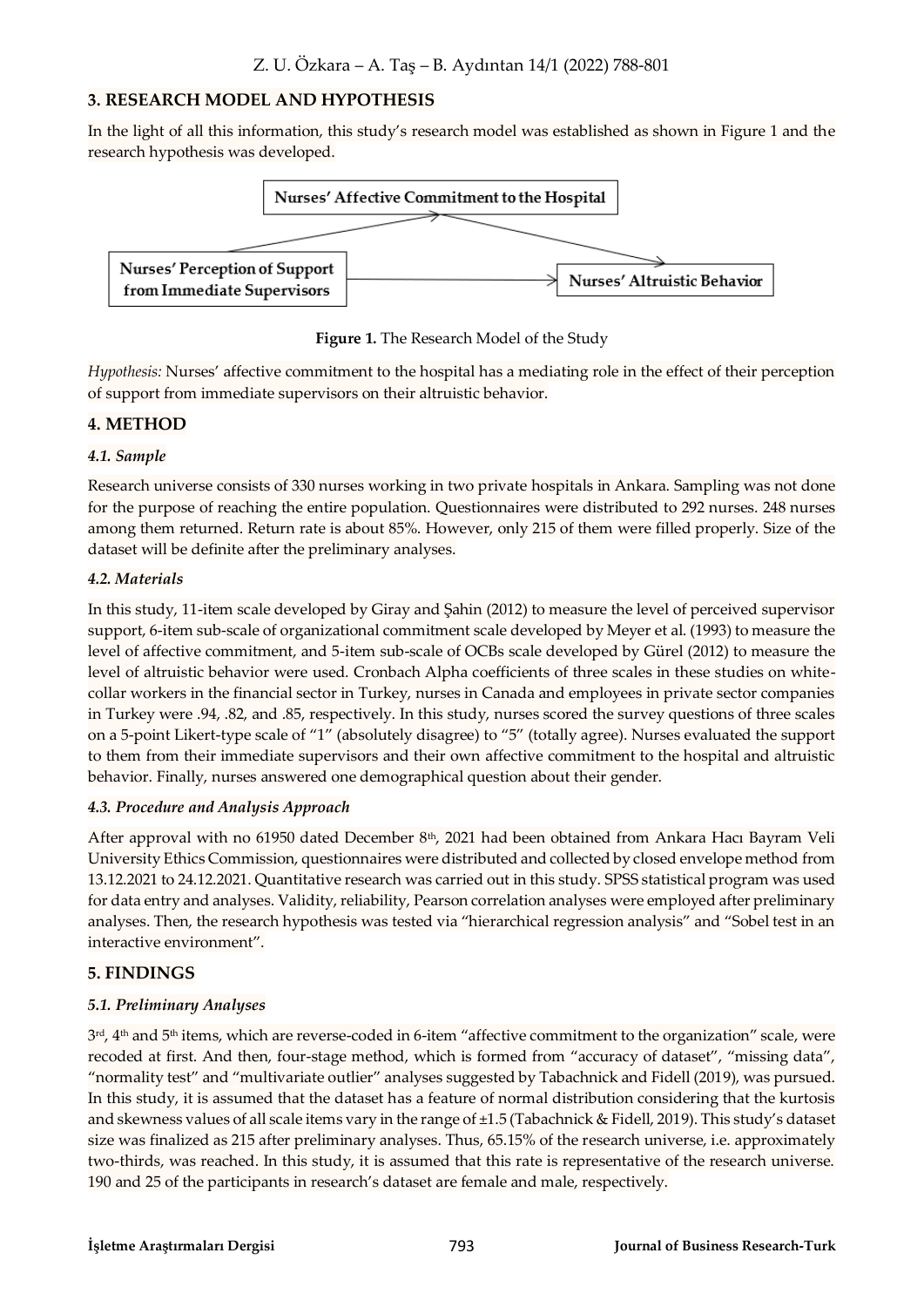# **3. RESEARCH MODEL AND HYPOTHESIS**

In the light of all this information, this study's research model was established as shown in Figure 1 and the research hypothesis was developed.



**Figure 1.** The Research Model of the Study

*Hypothesis:* Nurses' affective commitment to the hospital has a mediating role in the effect of their perception of support from immediate supervisors on their altruistic behavior.

## **4. METHOD**

#### *4.1. Sample*

Research universe consists of 330 nurses working in two private hospitals in Ankara. Sampling was not done for the purpose of reaching the entire population. Questionnaires were distributed to 292 nurses. 248 nurses among them returned. Return rate is about 85%. However, only 215 of them were filled properly. Size of the dataset will be definite after the preliminary analyses.

#### *4.2. Materials*

In this study, 11-item scale developed by Giray and Şahin (2012) to measure the level of perceived supervisor support, 6-item sub-scale of organizational commitment scale developed by Meyer et al. (1993) to measure the level of affective commitment, and 5-item sub-scale of OCBs scale developed by Gürel (2012) to measure the level of altruistic behavior were used. Cronbach Alpha coefficients of three scales in these studies on whitecollar workers in the financial sector in Turkey, nurses in Canada and employees in private sector companies in Turkey were .94, .82, and .85, respectively. In this study, nurses scored the survey questions of three scales on a 5-point Likert-type scale of "1" (absolutely disagree) to "5" (totally agree). Nurses evaluated the support to them from their immediate supervisors and their own affective commitment to the hospital and altruistic behavior. Finally, nurses answered one demographical question about their gender.

#### *4.3. Procedure and Analysis Approach*

After approval with no 61950 dated December 8<sup>th</sup>, 2021 had been obtained from Ankara Hacı Bayram Veli University Ethics Commission, questionnaires were distributed and collected by closed envelope method from 13.12.2021 to 24.12.2021. Quantitative research was carried out in this study. SPSS statistical program was used for data entry and analyses. Validity, reliability, Pearson correlation analyses were employed after preliminary analyses. Then, the research hypothesis was tested via "hierarchical regression analysis" and "Sobel test in an interactive environment".

## **5. FINDINGS**

## *5.1. Preliminary Analyses*

 $3<sup>rd</sup>$ ,  $4<sup>th</sup>$  and  $5<sup>th</sup>$  items, which are reverse-coded in 6-item "affective commitment to the organization" scale, were recoded at first. And then, four-stage method, which is formed from "accuracy of dataset", "missing data", "normality test" and "multivariate outlier" analyses suggested by Tabachnick and Fidell (2019), was pursued. In this study, it is assumed that the dataset has a feature of normal distribution considering that the kurtosis and skewness values of all scale items vary in the range of ±1.5 (Tabachnick & Fidell, 2019). This study's dataset size was finalized as 215 after preliminary analyses. Thus, 65.15% of the research universe, i.e. approximately two-thirds, was reached. In this study, it is assumed that this rate is representative of the research universe. 190 and 25 of the participants in research's dataset are female and male, respectively.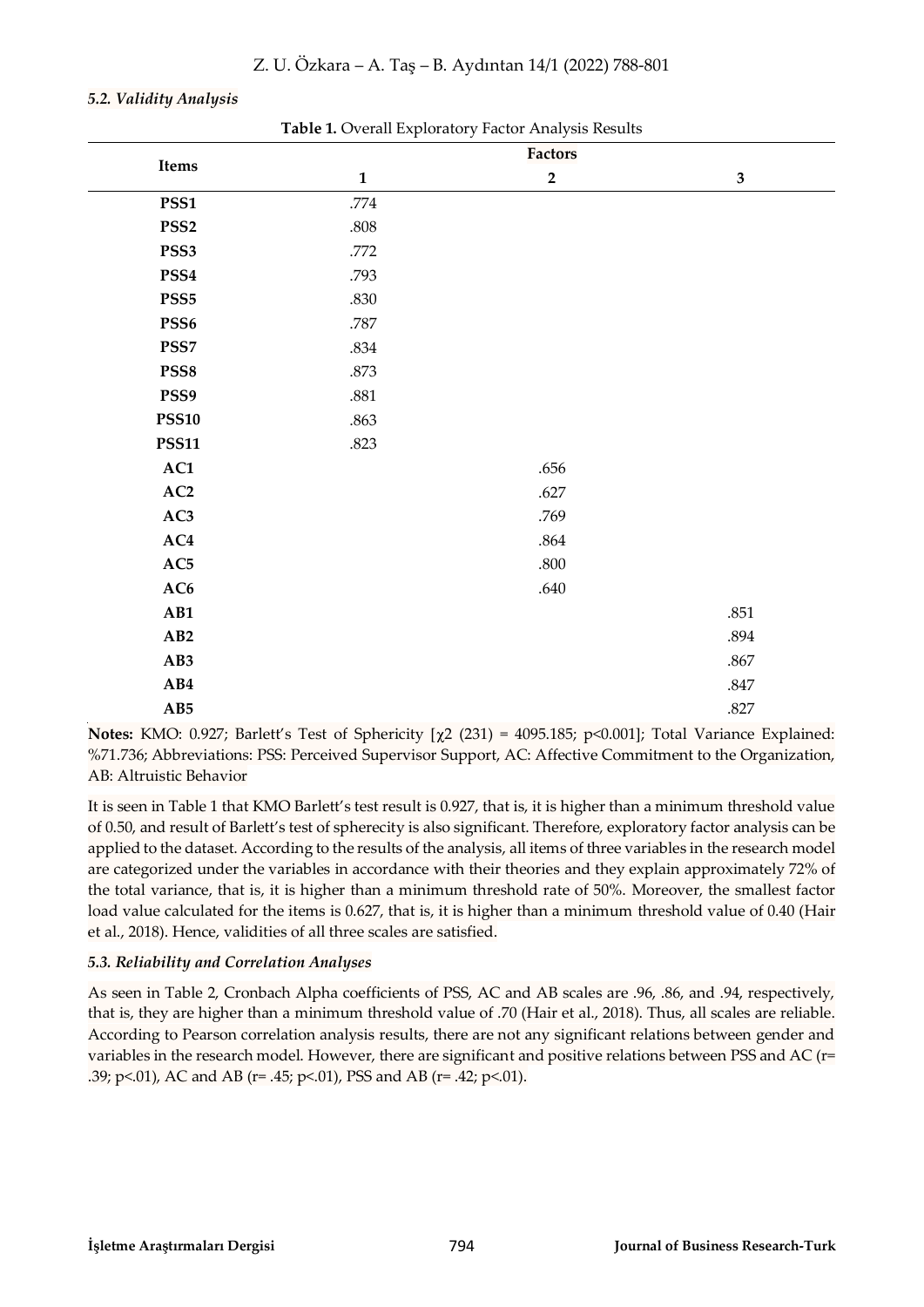| Items            | <b>Table 1.</b> Overall Exploratory Factor Thiarysis Results | Factors     |              |  |  |
|------------------|--------------------------------------------------------------|-------------|--------------|--|--|
|                  | $\mathbf{1}$                                                 | $\mathbf 2$ | $\mathbf{3}$ |  |  |
| PSS1             | .774                                                         |             |              |  |  |
| PSS <sub>2</sub> | $.808\,$                                                     |             |              |  |  |
| PSS3             | .772                                                         |             |              |  |  |
| PSS4             | .793                                                         |             |              |  |  |
| PSS <sub>5</sub> | .830                                                         |             |              |  |  |
| PSS6             | .787                                                         |             |              |  |  |
| PSS7             | .834                                                         |             |              |  |  |
| PSS8             | .873                                                         |             |              |  |  |
| PSS9             | .881                                                         |             |              |  |  |
| <b>PSS10</b>     | .863                                                         |             |              |  |  |
| <b>PSS11</b>     | .823                                                         |             |              |  |  |
| AC1              |                                                              | .656        |              |  |  |
| $\bf AC2$        |                                                              | .627        |              |  |  |
| AC3              |                                                              | .769        |              |  |  |
| AC4              |                                                              | .864        |              |  |  |
| AC5              |                                                              | .800        |              |  |  |
| $\bf AC6$        |                                                              | $.640\,$    |              |  |  |
| AB1              |                                                              |             | .851         |  |  |
| AB2              |                                                              |             | .894         |  |  |
| AB3              |                                                              |             | $.867$       |  |  |
| AB4              |                                                              |             | $.847\,$     |  |  |
| AB5              |                                                              |             | $.827\,$     |  |  |

#### *5.2. Validity Analysis*

**Table 1.** Overall Exploratory Factor Analysis Results

**Notes:** KMO: 0.927; Barlett's Test of Sphericity  $[\chi^2 (231) = 4095.185; \gamma \le 0.001]$ ; Total Variance Explained: %71.736; Abbreviations: PSS: Perceived Supervisor Support, AC: Affective Commitment to the Organization, AB: Altruistic Behavior

It is seen in Table 1 that KMO Barlett's test result is 0.927, that is, it is higher than a minimum threshold value of 0.50, and result of Barlett's test of spherecity is also significant. Therefore, exploratory factor analysis can be applied to the dataset. According to the results of the analysis, all items of three variables in the research model are categorized under the variables in accordance with their theories and they explain approximately 72% of the total variance, that is, it is higher than a minimum threshold rate of 50%. Moreover, the smallest factor load value calculated for the items is 0.627, that is, it is higher than a minimum threshold value of 0.40 (Hair et al., 2018). Hence, validities of all three scales are satisfied.

#### *5.3. Reliability and Correlation Analyses*

As seen in Table 2, Cronbach Alpha coefficients of PSS, AC and AB scales are .96, .86, and .94, respectively, that is, they are higher than a minimum threshold value of .70 (Hair et al., 2018). Thus, all scales are reliable. According to Pearson correlation analysis results, there are not any significant relations between gender and variables in the research model. However, there are significant and positive relations between PSS and AC (r= .39; p<.01), AC and AB (r= .45; p<.01), PSS and AB (r= .42; p<.01).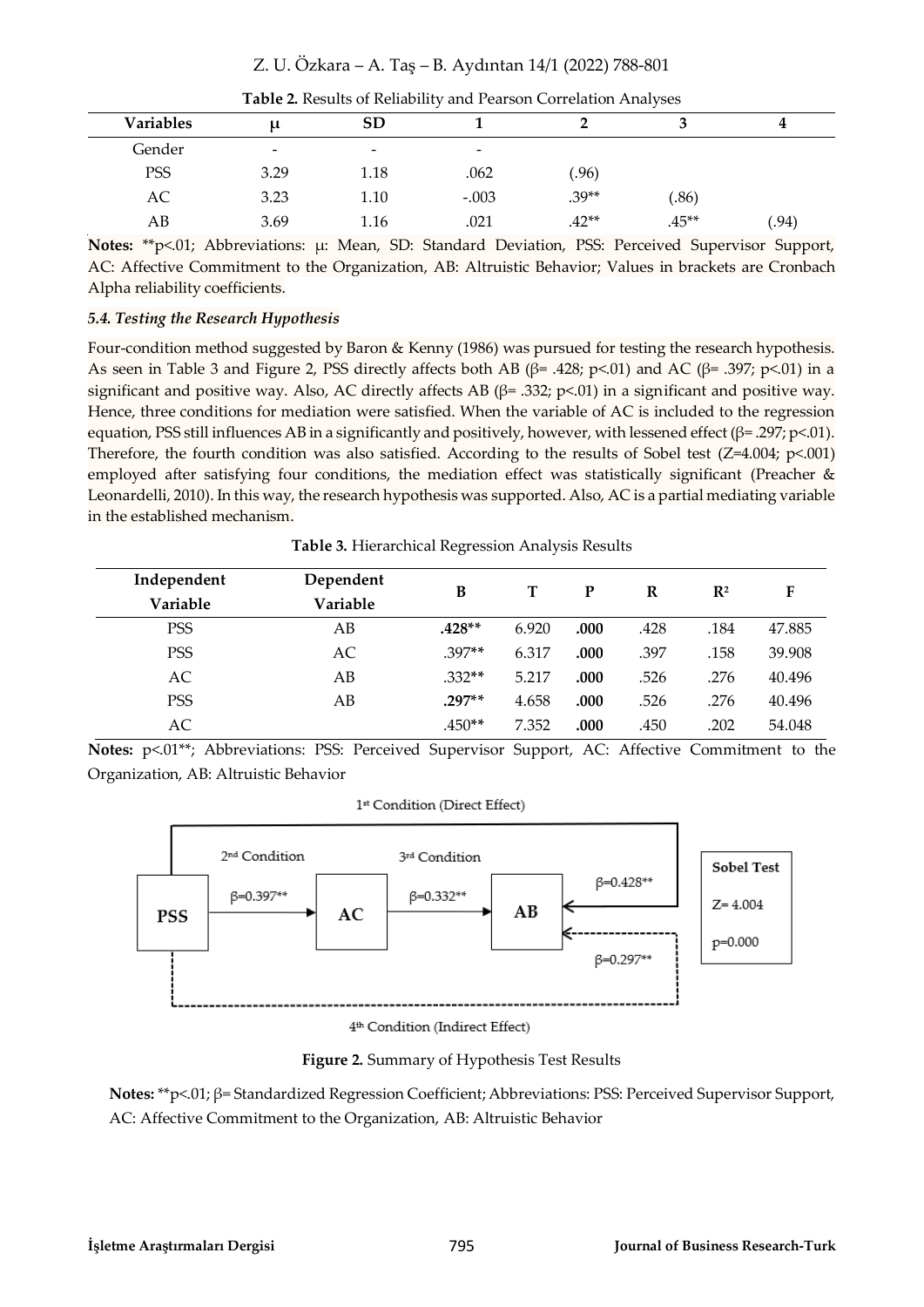| <b>Variables</b> | $\mathsf{u}$             | <b>SD</b>                |                          |         |          |      |
|------------------|--------------------------|--------------------------|--------------------------|---------|----------|------|
| Gender           | $\overline{\phantom{a}}$ | $\overline{\phantom{0}}$ | $\overline{\phantom{0}}$ |         |          |      |
| PSS              | 3.29                     | 1.18                     | .062                     | (96)    |          |      |
| AC               | 3.23                     | 1.10                     | $-.003$                  | $.39**$ | (.86)    |      |
| AВ               | 3.69                     | 1.16                     | .021                     | $.42**$ | $.45***$ | .94) |

|  | Table 2. Results of Reliability and Pearson Correlation Analyses |
|--|------------------------------------------------------------------|
|--|------------------------------------------------------------------|

**Notes:** \*\*p<.01; Abbreviations: µ: Mean, SD: Standard Deviation, PSS: Perceived Supervisor Support, AC: Affective Commitment to the Organization, AB: Altruistic Behavior; Values in brackets are Cronbach Alpha reliability coefficients.

#### *5.4. Testing the Research Hypothesis*

Four-condition method suggested by Baron & Kenny (1986) was pursued for testing the research hypothesis. As seen in Table 3 and Figure 2, PSS directly affects both AB ( $\beta$ = .428; p<.01) and AC ( $\beta$ = .397; p<.01) in a significant and positive way. Also, AC directly affects AB ( $\beta$ = .332; p<.01) in a significant and positive way. Hence, three conditions for mediation were satisfied. When the variable of AC is included to the regression equation, PSS still influences AB in a significantly and positively, however, with lessened effect (β= .297; p<.01). Therefore, the fourth condition was also satisfied. According to the results of Sobel test  $(Z=4.004; p<.001)$ employed after satisfying four conditions, the mediation effect was statistically significant (Preacher & Leonardelli, 2010). In this way, the research hypothesis was supported. Also, AC is a partial mediating variable in the established mechanism.

**Table 3.** Hierarchical Regression Analysis Results

| Independent | Dependent | B        |       | P    | R    | $\mathbb{R}^2$ | F      |
|-------------|-----------|----------|-------|------|------|----------------|--------|
| Variable    | Variable  |          |       |      |      |                |        |
| <b>PSS</b>  | AB        | $.428**$ | 6.920 | .000 | .428 | .184           | 47.885 |
| <b>PSS</b>  | AC        | $.397**$ | 6.317 | .000 | .397 | .158           | 39.908 |
| AC          | AB        | .332**   | 5.217 | .000 | .526 | .276           | 40.496 |
| <b>PSS</b>  | AB        | $.297**$ | 4.658 | .000 | .526 | .276           | 40.496 |
| AC          |           | $.450**$ | 7.352 | .000 | .450 | .202           | 54.048 |

Notes: p<.01\*\*; Abbreviations: PSS: Perceived Supervisor Support, AC: Affective Commitment to the Organization, AB: Altruistic Behavior



**Figure 2.** Summary of Hypothesis Test Results

**Notes:** \*\*p<.01; β= Standardized Regression Coefficient; Abbreviations: PSS: Perceived Supervisor Support, AC: Affective Commitment to the Organization, AB: Altruistic Behavior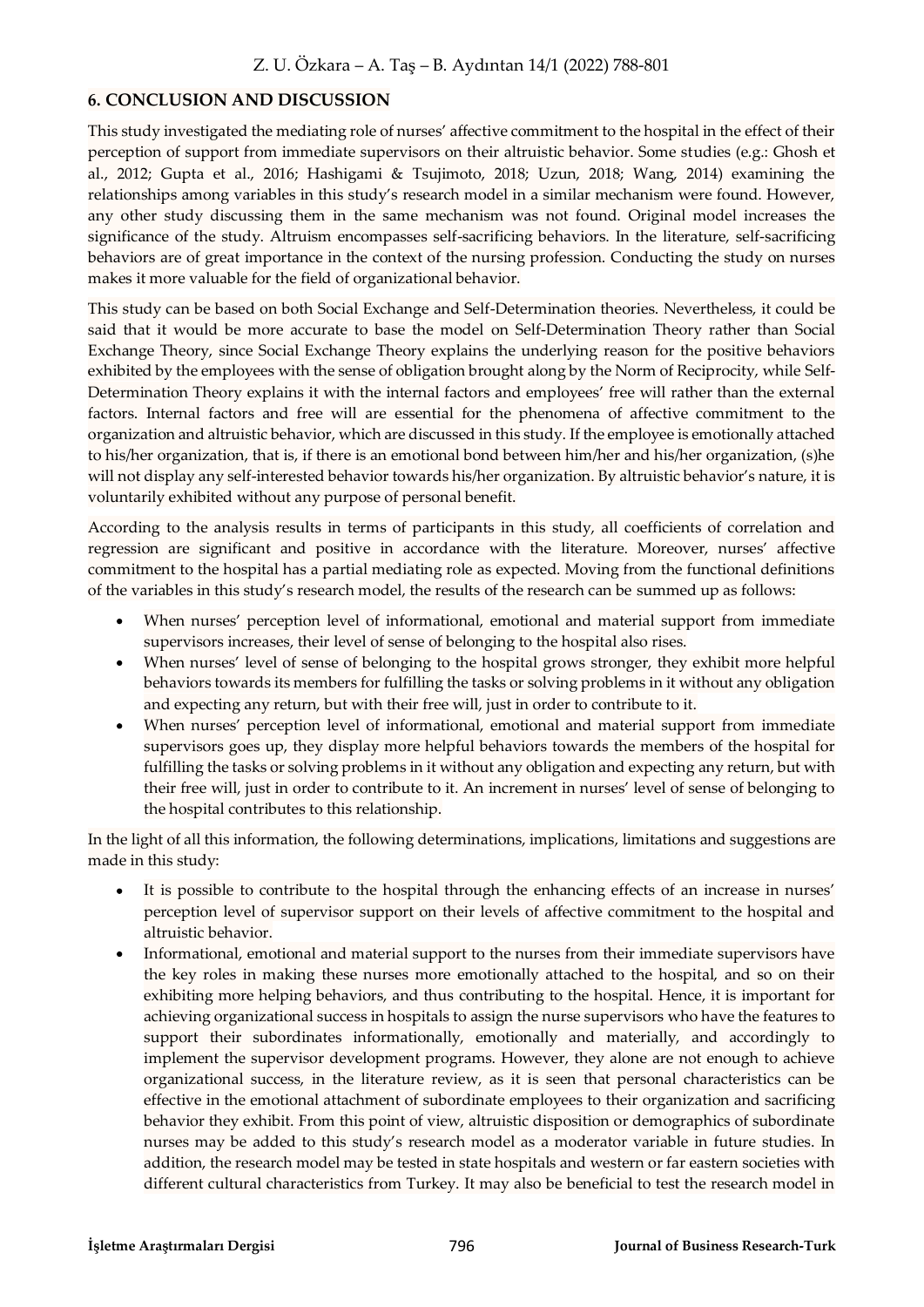## **6. CONCLUSION AND DISCUSSION**

This study investigated the mediating role of nurses' affective commitment to the hospital in the effect of their perception of support from immediate supervisors on their altruistic behavior. Some studies (e.g.: Ghosh et al., 2012; Gupta et al., 2016; Hashigami & Tsujimoto, 2018; Uzun, 2018; Wang, 2014) examining the relationships among variables in this study's research model in a similar mechanism were found. However, any other study discussing them in the same mechanism was not found. Original model increases the significance of the study. Altruism encompasses self-sacrificing behaviors. In the literature, self-sacrificing behaviors are of great importance in the context of the nursing profession. Conducting the study on nurses makes it more valuable for the field of organizational behavior.

This study can be based on both Social Exchange and Self-Determination theories. Nevertheless, it could be said that it would be more accurate to base the model on Self-Determination Theory rather than Social Exchange Theory, since Social Exchange Theory explains the underlying reason for the positive behaviors exhibited by the employees with the sense of obligation brought along by the Norm of Reciprocity, while Self-Determination Theory explains it with the internal factors and employees' free will rather than the external factors. Internal factors and free will are essential for the phenomena of affective commitment to the organization and altruistic behavior, which are discussed in this study. If the employee is emotionally attached to his/her organization, that is, if there is an emotional bond between him/her and his/her organization, (s)he will not display any self-interested behavior towards his/her organization. By altruistic behavior's nature, it is voluntarily exhibited without any purpose of personal benefit.

According to the analysis results in terms of participants in this study, all coefficients of correlation and regression are significant and positive in accordance with the literature. Moreover, nurses' affective commitment to the hospital has a partial mediating role as expected. Moving from the functional definitions of the variables in this study's research model, the results of the research can be summed up as follows:

- When nurses' perception level of informational, emotional and material support from immediate supervisors increases, their level of sense of belonging to the hospital also rises.
- $\bullet$ When nurses' level of sense of belonging to the hospital grows stronger, they exhibit more helpful behaviors towards its members for fulfilling the tasks or solving problems in it without any obligation and expecting any return, but with their free will, just in order to contribute to it.
- $\bullet$ When nurses' perception level of informational, emotional and material support from immediate supervisors goes up, they display more helpful behaviors towards the members of the hospital for fulfilling the tasks or solving problems in it without any obligation and expecting any return, but with their free will, just in order to contribute to it. An increment in nurses' level of sense of belonging to the hospital contributes to this relationship.

In the light of all this information, the following determinations, implications, limitations and suggestions are made in this study:

- It is possible to contribute to the hospital through the enhancing effects of an increase in nurses' perception level of supervisor support on their levels of affective commitment to the hospital and altruistic behavior.
- Informational, emotional and material support to the nurses from their immediate supervisors have the key roles in making these nurses more emotionally attached to the hospital, and so on their exhibiting more helping behaviors, and thus contributing to the hospital. Hence, it is important for achieving organizational success in hospitals to assign the nurse supervisors who have the features to support their subordinates informationally, emotionally and materially, and accordingly to implement the supervisor development programs. However, they alone are not enough to achieve organizational success, in the literature review, as it is seen that personal characteristics can be effective in the emotional attachment of subordinate employees to their organization and sacrificing behavior they exhibit. From this point of view, altruistic disposition or demographics of subordinate nurses may be added to this study's research model as a moderator variable in future studies. In addition, the research model may be tested in state hospitals and western or far eastern societies with different cultural characteristics from Turkey. It may also be beneficial to test the research model in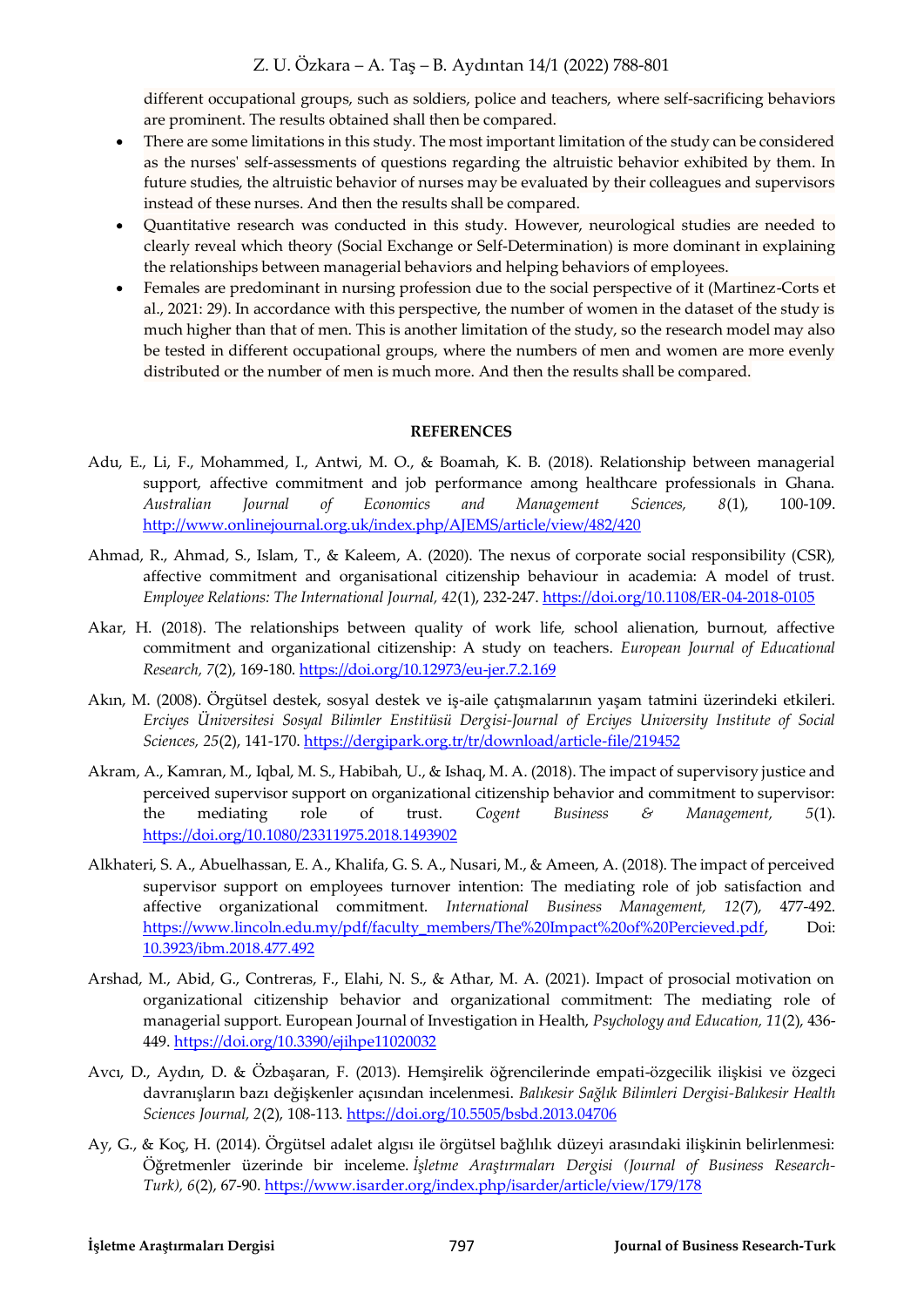different occupational groups, such as soldiers, police and teachers, where self-sacrificing behaviors are prominent. The results obtained shall then be compared.

- There are some limitations in this study. The most important limitation of the study can be considered  $\bullet$ as the nurses' self-assessments of questions regarding the altruistic behavior exhibited by them. In future studies, the altruistic behavior of nurses may be evaluated by their colleagues and supervisors instead of these nurses. And then the results shall be compared.
- Quantitative research was conducted in this study. However, neurological studies are needed to clearly reveal which theory (Social Exchange or Self-Determination) is more dominant in explaining the relationships between managerial behaviors and helping behaviors of employees.
- $\bullet$ Females are predominant in nursing profession due to the social perspective of it (Martinez-Corts et al., 2021: 29). In accordance with this perspective, the number of women in the dataset of the study is much higher than that of men. This is another limitation of the study, so the research model may also be tested in different occupational groups, where the numbers of men and women are more evenly distributed or the number of men is much more. And then the results shall be compared.

#### **REFERENCES**

- Adu, E., Li, F., Mohammed, I., Antwi, M. O., & Boamah, K. B. (2018). Relationship between managerial support, affective commitment and job performance among healthcare professionals in Ghana. *Australian Journal of Economics and Management Sciences, 8*(1), 100-109. <http://www.onlinejournal.org.uk/index.php/AJEMS/article/view/482/420>
- Ahmad, R., Ahmad, S., Islam, T., & Kaleem, A. (2020). The nexus of corporate social responsibility (CSR), affective commitment and organisational citizenship behaviour in academia: A model of trust. *Employee Relations: The International Journal, 42*(1), 232-247[. https://doi.org/10.1108/ER-04-2018-0105](https://doi.org/10.1108/ER-04-2018-0105)
- Akar, H. (2018). The relationships between quality of work life, school alienation, burnout, affective commitment and organizational citizenship: A study on teachers. *European Journal of Educational Research, 7*(2), 169-180.<https://doi.org/10.12973/eu-jer.7.2.169>
- Akın, M. (2008). Örgütsel destek, sosyal destek ve iş-aile çatışmalarının yaşam tatmini üzerindeki etkileri. *Erciyes Üniversitesi Sosyal Bilimler Enstitüsü Dergisi-Journal of Erciyes University Institute of Social Sciences, 25*(2), 141-170.<https://dergipark.org.tr/tr/download/article-file/219452>
- Akram, A., Kamran, M., Iqbal, M. S., Habibah, U., & Ishaq, M. A. (2018). The impact of supervisory justice and perceived supervisor support on organizational citizenship behavior and commitment to supervisor: the mediating role of trust. *Cogent Business & Management, 5*(1). <https://doi.org/10.1080/23311975.2018.1493902>
- Alkhateri, S. A., Abuelhassan, E. A., Khalifa, G. S. A., Nusari, M., & Ameen, A. (2018). The impact of perceived supervisor support on employees turnover intention: The mediating role of job satisfaction and affective organizational commitment. *International Business Management, 12*(7), 477-492. [https://www.lincoln.edu.my/pdf/faculty\\_members/The%20Impact%20of%20Percieved.pdf,](https://www.lincoln.edu.my/pdf/faculty_members/The%20Impact%20of%20Percieved.pdf) Doi: 10.3923/ibm.2018.477.492
- Arshad, M., Abid, G., Contreras, F., Elahi, N. S., & Athar, M. A. (2021). Impact of prosocial motivation on organizational citizenship behavior and organizational commitment: The mediating role of managerial support. European Journal of Investigation in Health, *Psychology and Education, 11*(2), 436- 449.<https://doi.org/10.3390/ejihpe11020032>
- Avcı, D., Aydın, D. & Özbaşaran, F. (2013). Hemşirelik öğrencilerinde empati-özgecilik ilişkisi ve özgeci davranışların bazı değişkenler açısından incelenmesi. *Balıkesir Sağlık Bilimleri Dergisi-Balıkesir Health Sciences Journal, 2*(2), 108-113.<https://doi.org/10.5505/bsbd.2013.04706>
- Ay, G., & Koç, H. (2014). Örgütsel adalet algısı ile örgütsel bağlılık düzeyi arasındaki ilişkinin belirlenmesi: Öğretmenler üzerinde bir inceleme. *İşletme Araştırmaları Dergisi (Journal of Business Research-Turk), 6*(2), 67-90[. https://www.isarder.org/index.php/isarder/article/view/179/178](https://www.isarder.org/index.php/isarder/article/view/179/178)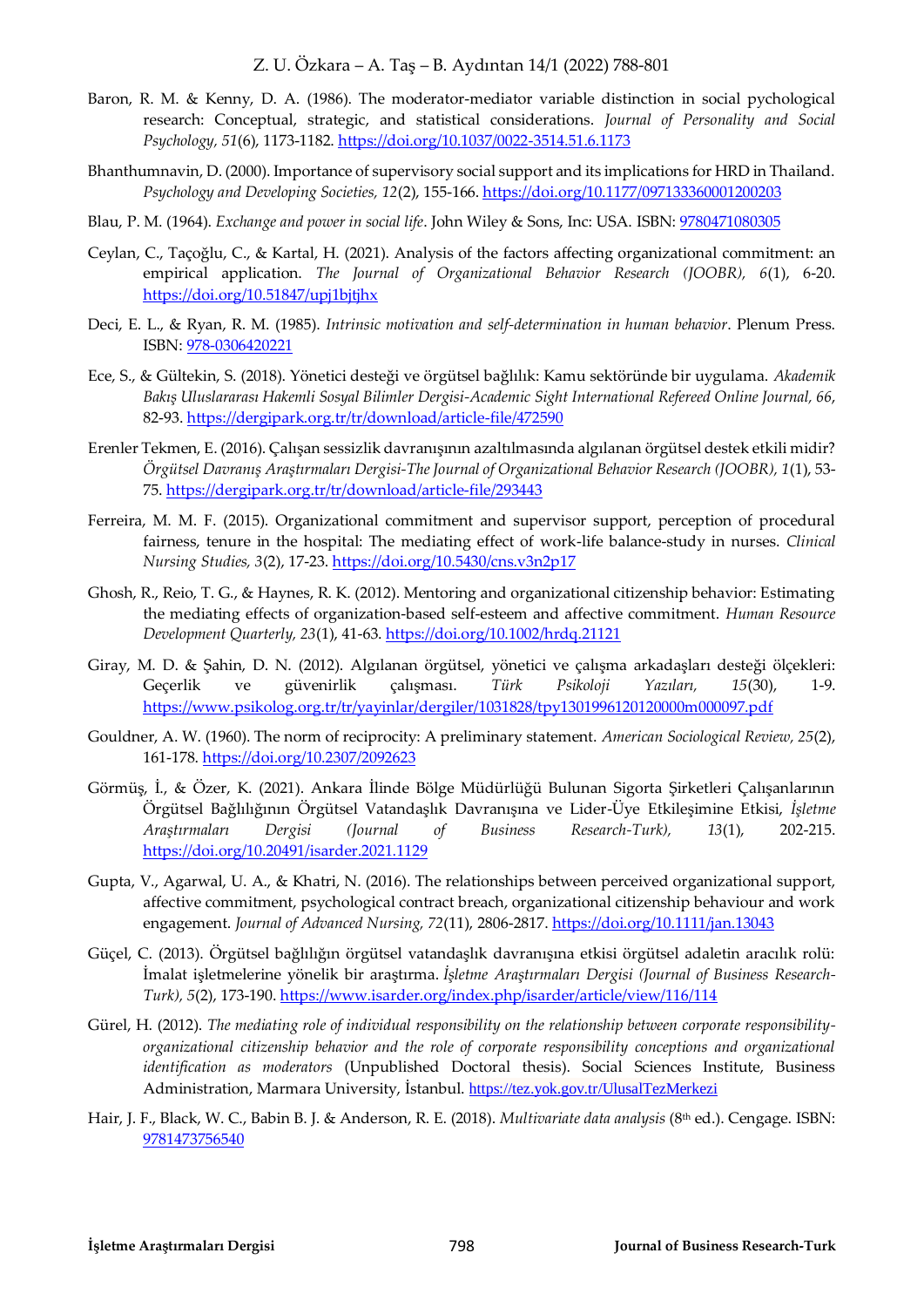- Baron, R. M. & Kenny, D. A. (1986). The moderator-mediator variable distinction in social pychological research: Conceptual, strategic, and statistical considerations. *Journal of Personality and Social Psychology, 51*(6), 1173-1182.<https://doi.org/10.1037/0022-3514.51.6.1173>
- Bhanthumnavin, D. (2000). Importance of supervisory social support and its implications for HRD in Thailand. *Psychology and Developing Societies, 12*(2), 155-166.<https://doi.org/10.1177/097133360001200203>
- Blau, P. M. (1964). *Exchange and power in social life*. John Wiley & Sons, Inc: USA. ISBN: 9780471080305
- Ceylan, C., Taçoğlu, C., & Kartal, H. (2021). Analysis of the factors affecting organizational commitment: an empirical application. *The Journal of Organizational Behavior Research (JOOBR), 6*(1), 6-20. <https://doi.org/10.51847/upj1bjtjhx>
- Deci, E. L., & Ryan, R. M. (1985). *Intrinsic motivation and self-determination in human behavior*. Plenum Press. ISBN: 978-0306420221
- Ece, S., & Gültekin, S. (2018). Yönetici desteği ve örgütsel bağlılık: Kamu sektöründe bir uygulama. *Akademik Bakış Uluslararası Hakemli Sosyal Bilimler Dergisi-Academic Sight International Refereed Online Journal, 66*, 82-93[. https://dergipark.org.tr/tr/download/article-file/472590](https://dergipark.org.tr/tr/download/article-file/472590)
- Erenler Tekmen, E. (2016). Çalışan sessizlik davranışının azaltılmasında algılanan örgütsel destek etkili midir? *Örgütsel Davranış Araştırmaları Dergisi-The Journal of Organizational Behavior Research (JOOBR), 1*(1), 53- 75.<https://dergipark.org.tr/tr/download/article-file/293443>
- Ferreira, M. M. F. (2015). Organizational commitment and supervisor support, perception of procedural fairness, tenure in the hospital: The mediating effect of work-life balance-study in nurses. *Clinical Nursing Studies, 3*(2), 17-23.<https://doi.org/10.5430/cns.v3n2p17>
- Ghosh, R., Reio, T. G., & Haynes, R. K. (2012). Mentoring and organizational citizenship behavior: Estimating the mediating effects of organization‐based self‐esteem and affective commitment. *Human Resource Development Quarterly, 23*(1), 41-63[. https://doi.org/10.1002/hrdq.21121](https://doi.org/10.1002/hrdq.21121)
- Giray, M. D. & Şahin, D. N. (2012). Algılanan örgütsel, yönetici ve çalışma arkadaşları desteği ölçekleri: Geçerlik ve güvenirlik çalışması. *Türk Psikoloji Yazıları, 15*(30), 1-9. <https://www.psikolog.org.tr/tr/yayinlar/dergiler/1031828/tpy1301996120120000m000097.pdf>
- Gouldner, A. W. (1960). The norm of reciprocity: A preliminary statement. *American Sociological Review, 25*(2), 161-178[. https://doi.org/10.2307/2092623](https://doi.org/10.2307/2092623)
- Görmüş, İ., & Özer, K. (2021). Ankara İlinde Bölge Müdürlüğü Bulunan Sigorta Şirketleri Çalışanlarının Örgütsel Bağlılığının Örgütsel Vatandaşlık Davranışına ve Lider-Üye Etkileşimine Etkisi, *İşletme Araştırmaları Dergisi (Journal of Business Research-Turk), 13*(1), 202-215. <https://doi.org/10.20491/isarder.2021.1129>
- Gupta, V., Agarwal, U. A., & Khatri, N. (2016). The relationships between perceived organizational support, affective commitment, psychological contract breach, organizational citizenship behaviour and work engagement. *Journal of Advanced Nursing, 72*(11), 2806-2817[. https://doi.org/10.1111/jan.13043](https://doi.org/10.1111/jan.13043)
- Güçel, C. (2013). Örgütsel bağlılığın örgütsel vatandaşlık davranışına etkisi örgütsel adaletin aracılık rolü: İmalat işletmelerine yönelik bir araştırma. *İşletme Araştırmaları Dergisi (Journal of Business Research-Turk), 5*(2), 173-190[. https://www.isarder.org/index.php/isarder/article/view/116/114](https://www.isarder.org/index.php/isarder/article/view/116/114)
- Gürel, H. (2012). *The mediating role of individual responsibility on the relationship between corporate responsibilityorganizational citizenship behavior and the role of corporate responsibility conceptions and organizational identification as moderators* (Unpublished Doctoral thesis). Social Sciences Institute, Business Administration, Marmara University, İstanbul. <https://tez.yok.gov.tr/UlusalTezMerkezi>
- Hair, J. F., Black, W. C., Babin B. J. & Anderson, R. E. (2018). *Multivariate data analysis* (8th ed.). Cengage. ISBN: 9781473756540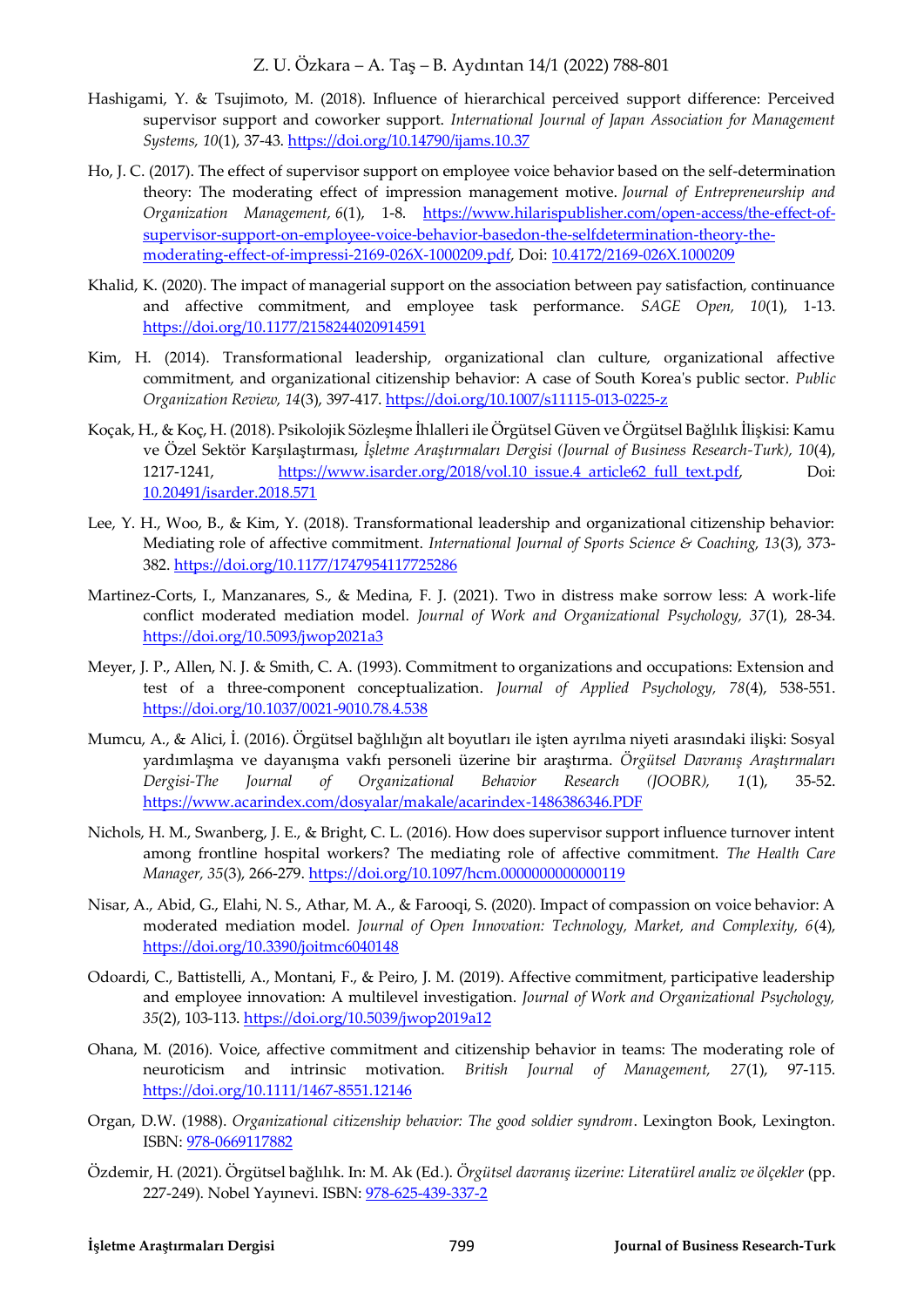- Hashigami, Y. & Tsujimoto, M. (2018). Influence of hierarchical perceived support difference: Perceived supervisor support and coworker support. *International Journal of Japan Association for Management Systems, 10*(1), 37-43[. https://doi.org/10.14790/ijams.10.37](https://doi.org/10.14790/ijams.10.37)
- Ho, J. C. (2017). The effect of supervisor support on employee voice behavior based on the self-determination theory: The moderating effect of impression management motive. *Journal of Entrepreneurship and Organization Management, 6*(1), 1-8. [https://www.hilarispublisher.com/open-access/the-effect-of](https://www.hilarispublisher.com/open-access/the-effect-of-supervisor-support-on-employee-voice-behavior-basedon-the-selfdetermination-theory-the-moderating-effect-of-impressi-2169-026X-1000209.pdf)[supervisor-support-on-employee-voice-behavior-basedon-the-selfdetermination-theory-the](https://www.hilarispublisher.com/open-access/the-effect-of-supervisor-support-on-employee-voice-behavior-basedon-the-selfdetermination-theory-the-moderating-effect-of-impressi-2169-026X-1000209.pdf)[moderating-effect-of-impressi-2169-026X-1000209.pdf,](https://www.hilarispublisher.com/open-access/the-effect-of-supervisor-support-on-employee-voice-behavior-basedon-the-selfdetermination-theory-the-moderating-effect-of-impressi-2169-026X-1000209.pdf) Doi: 10.4172/2169-026X.1000209
- Khalid, K. (2020). The impact of managerial support on the association between pay satisfaction, continuance and affective commitment, and employee task performance. *SAGE Open, 10*(1), 1-13. <https://doi.org/10.1177/2158244020914591>
- Kim, H. (2014). Transformational leadership, organizational clan culture, organizational affective commitment, and organizational citizenship behavior: A case of South Korea's public sector. *Public Organization Review, 14*(3), 397-417[. https://doi.org/10.1007/s11115-013-0225-z](https://doi.org/10.1007/s11115-013-0225-z)
- Koçak, H., & Koç, H. (2018). Psikolojik Sözleşme İhlalleri ile Örgütsel Güven ve Örgütsel Bağlılık İlişkisi: Kamu ve Özel Sektör Karşılaştırması, *İşletme Araştırmaları Dergisi (Journal of Business Research-Turk), 10*(4), 1217-1241, https://www.isarder.org/2018/vol.10 issue.4 article62 full text.pdf, Doi: 10.20491/isarder.2018.571
- Lee, Y. H., Woo, B., & Kim, Y. (2018). Transformational leadership and organizational citizenship behavior: Mediating role of affective commitment. *International Journal of Sports Science & Coaching, 13*(3), 373- 382.<https://doi.org/10.1177/1747954117725286>
- Martinez-Corts, I., Manzanares, S., & Medina, F. J. (2021). Two in distress make sorrow less: A work-life conflict moderated mediation model. *Journal of Work and Organizational Psychology, 37*(1), 28-34. <https://doi.org/10.5093/jwop2021a3>
- Meyer, J. P., Allen, N. J. & Smith, C. A. (1993). Commitment to organizations and occupations: Extension and test of a three-component conceptualization. *Journal of Applied Psychology, 78*(4), 538-551. <https://doi.org/10.1037/0021-9010.78.4.538>
- Mumcu, A., & Alici, İ. (2016). Örgütsel bağlılığın alt boyutları ile işten ayrılma niyeti arasındaki ilişki: Sosyal yardımlaşma ve dayanışma vakfı personeli üzerine bir araştırma. *Örgütsel Davranış Araştırmaları Dergisi-The Journal of Organizational Behavior Research (JOOBR), 1*(1), 35-52. <https://www.acarindex.com/dosyalar/makale/acarindex-1486386346.PDF>
- Nichols, H. M., Swanberg, J. E., & Bright, C. L. (2016). How does supervisor support influence turnover intent among frontline hospital workers? The mediating role of affective commitment. *The Health Care Manager, 35*(3), 266-279.<https://doi.org/10.1097/hcm.0000000000000119>
- Nisar, A., Abid, G., Elahi, N. S., Athar, M. A., & Farooqi, S. (2020). Impact of compassion on voice behavior: A moderated mediation model. *Journal of Open Innovation: Technology, Market, and Complexity, 6*(4), <https://doi.org/10.3390/joitmc6040148>
- Odoardi, C., Battistelli, A., Montani, F., & Peiro, J. M. (2019). Affective commitment, participative leadership and employee innovation: A multilevel investigation. *Journal of Work and Organizational Psychology, 35*(2), 103-113.<https://doi.org/10.5039/jwop2019a12>
- Ohana, M. (2016). Voice, affective commitment and citizenship behavior in teams: The moderating role of neuroticism and intrinsic motivation. *British Journal of Management, 27*(1), 97-115. <https://doi.org/10.1111/1467-8551.12146>
- Organ, D.W. (1988). *Organizational citizenship behavior: The good soldier syndrom*. Lexington Book, Lexington. ISBN: 978-0669117882
- Özdemir, H. (2021). Örgütsel bağlılık. In: M. Ak (Ed.). *Örgütsel davranış üzerine: Literatürel analiz ve ölçekler* (pp. 227-249). Nobel Yayınevi. ISBN: 978-625-439-337-2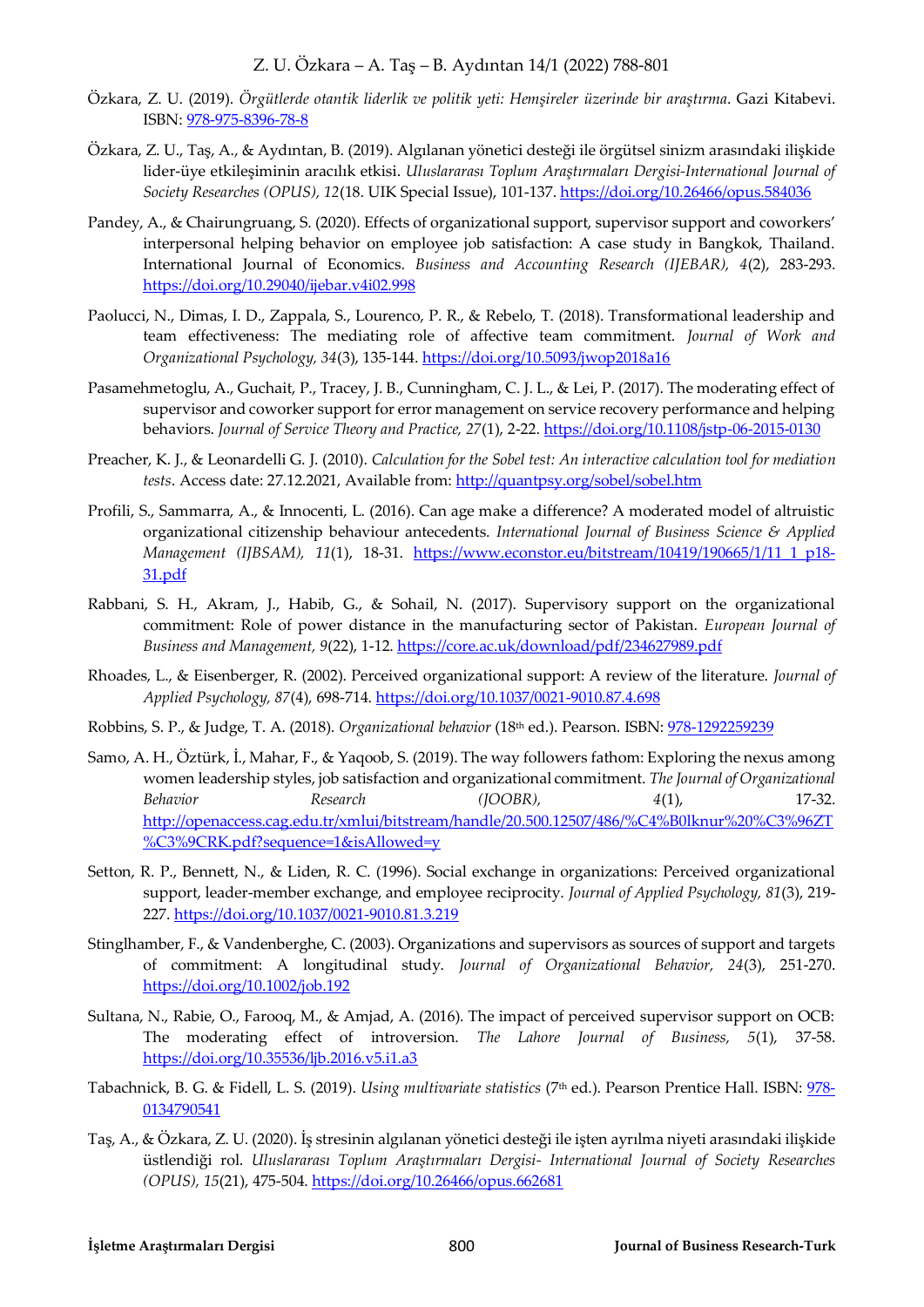- Özkara, Z. U. (2019). *Örgütlerde otantik liderlik ve politik yeti: Hemşireler üzerinde bir araştırma*. Gazi Kitabevi. ISBN: 978-975-8396-78-8
- Özkara, Z. U., Taş, A., & Aydıntan, B. (2019). Algılanan yönetici desteği ile örgütsel sinizm arasındaki ilişkide lider-üye etkileşiminin aracılık etkisi. *Uluslararası Toplum Araştırmaları Dergisi-International Journal of Society Researches (OPUS), 12*(18. UIK Special Issue), 101-137.<https://doi.org/10.26466/opus.584036>
- Pandey, A., & Chairungruang, S. (2020). Effects of organizational support, supervisor support and coworkers' interpersonal helping behavior on employee job satisfaction: A case study in Bangkok, Thailand. International Journal of Economics. *Business and Accounting Research (IJEBAR), 4*(2), 283-293. <https://doi.org/10.29040/ijebar.v4i02.998>
- Paolucci, N., Dimas, I. D., Zappala, S., Lourenco, P. R., & Rebelo, T. (2018). Transformational leadership and team effectiveness: The mediating role of affective team commitment. *Journal of Work and Organizational Psychology, 34*(3), 135-144.<https://doi.org/10.5093/jwop2018a16>
- Pasamehmetoglu, A., Guchait, P., Tracey, J. B., Cunningham, C. J. L., & Lei, P. (2017). The moderating effect of supervisor and coworker support for error management on service recovery performance and helping behaviors. *Journal of Service Theory and Practice, 27*(1), 2-22[. https://doi.org/10.1108/jstp-06-2015-0130](https://doi.org/10.1108/jstp-06-2015-0130)
- Preacher, K. J., & Leonardelli G. J. (2010). *Calculation for the Sobel test: An interactive calculation tool for mediation tests*. Access date: 27.12.2021, Available from[: http://quantpsy.org/sobel/sobel.htm](http://quantpsy.org/sobel/sobel.htm)
- Profili, S., Sammarra, A., & Innocenti, L. (2016). Can age make a difference? A moderated model of altruistic organizational citizenship behaviour antecedents. *International Journal of Business Science & Applied Management (IJBSAM), 11*(1), 18-31. [https://www.econstor.eu/bitstream/10419/190665/1/11\\_1\\_p18-](https://www.econstor.eu/bitstream/10419/190665/1/11_1_p18-31.pdf) [31.pdf](https://www.econstor.eu/bitstream/10419/190665/1/11_1_p18-31.pdf)
- Rabbani, S. H., Akram, J., Habib, G., & Sohail, N. (2017). Supervisory support on the organizational commitment: Role of power distance in the manufacturing sector of Pakistan. *European Journal of Business and Management, 9*(22), 1-12.<https://core.ac.uk/download/pdf/234627989.pdf>
- Rhoades, L., & Eisenberger, R. (2002). Perceived organizational support: A review of the literature. *Journal of Applied Psychology, 87*(4), 698-714.<https://doi.org/10.1037/0021-9010.87.4.698>
- Robbins, S. P., & Judge, T. A. (2018). *Organizational behavior* (18th ed.). Pearson. ISBN: 978-1292259239
- Samo, A. H., Öztürk, İ., Mahar, F., & Yaqoob, S. (2019). The way followers fathom: Exploring the nexus among women leadership styles, job satisfaction and organizational commitment. *The Journal of Organizational Behavior Research (JOOBR), 4*(1), 17-32. [http://openaccess.cag.edu.tr/xmlui/bitstream/handle/20.500.12507/486/%C4%B0lknur%20%C3%96ZT](http://openaccess.cag.edu.tr/xmlui/bitstream/handle/20.500.12507/486/%C4%B0lknur%20%C3%96ZT%C3%9CRK.pdf?sequence=1&isAllowed=y) [%C3%9CRK.pdf?sequence=1&isAllowed=y](http://openaccess.cag.edu.tr/xmlui/bitstream/handle/20.500.12507/486/%C4%B0lknur%20%C3%96ZT%C3%9CRK.pdf?sequence=1&isAllowed=y)
- Setton, R. P., Bennett, N., & Liden, R. C. (1996). Social exchange in organizations: Perceived organizational support, leader-member exchange, and employee reciprocity. *Journal of Applied Psychology, 81*(3), 219- 227.<https://doi.org/10.1037/0021-9010.81.3.219>
- Stinglhamber, F., & Vandenberghe, C. (2003). Organizations and supervisors as sources of support and targets of commitment: A longitudinal study. *Journal of Organizational Behavior, 24*(3), 251-270. <https://doi.org/10.1002/job.192>
- Sultana, N., Rabie, O., Farooq, M., & Amjad, A. (2016). The impact of perceived supervisor support on OCB: The moderating effect of introversion. *The Lahore Journal of Business, 5*(1), 37-58. <https://doi.org/10.35536/ljb.2016.v5.i1.a3>
- Tabachnick, B. G. & Fidell, L. S. (2019). *Using multivariate statistics* (7th ed.). Pearson Prentice Hall. ISBN: 978- 0134790541
- Taş, A., & Özkara, Z. U. (2020). İş stresinin algılanan yönetici desteği ile işten ayrılma niyeti arasındaki ilişkide üstlendiği rol. *Uluslararası Toplum Araştırmaları Dergisi- International Journal of Society Researches (OPUS), 15*(21), 475-504.<https://doi.org/10.26466/opus.662681>